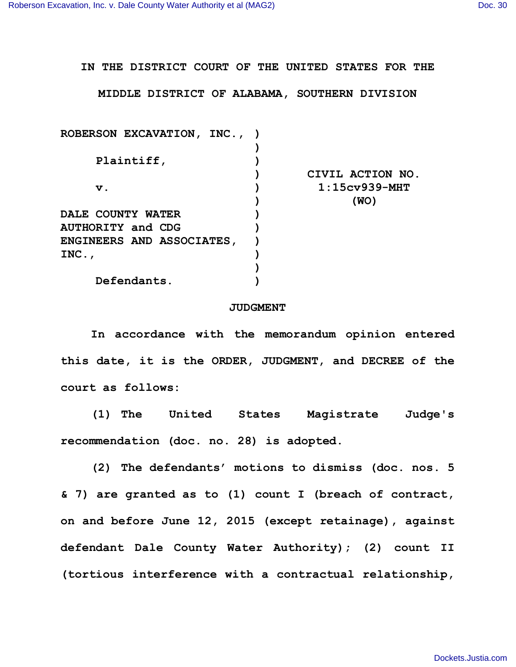**IN THE DISTRICT COURT OF THE UNITED STATES FOR THE**

**MIDDLE DISTRICT OF ALABAMA, SOUTHERN DIVISION**

| ROBERSON EXCAVATION, INC., ) |                  |
|------------------------------|------------------|
|                              |                  |
| Plaintiff,                   |                  |
|                              | CIVIL ACTION NO. |
| v.                           | $1:15cy939-MHT$  |
|                              | (WO)             |
| <b>DALE COUNTY WATER</b>     |                  |
| <b>AUTHORITY and CDG</b>     |                  |
| ENGINEERS AND ASSOCIATES,    |                  |
| $INC.$ ,                     |                  |
|                              |                  |
| Defendants.                  |                  |

## **JUDGMENT**

**In accordance with the memorandum opinion entered this date, it is the ORDER, JUDGMENT, and DECREE of the court as follows:**

**(1) The United States Magistrate Judge's recommendation (doc. no. 28) is adopted.**

**(2) The defendants' motions to dismiss (doc. nos. 5 & 7) are granted as to (1) count I (breach of contract, on and before June 12, 2015 (except retainage), against defendant Dale County Water Authority); (2) count II (tortious interference with a contractual relationship,**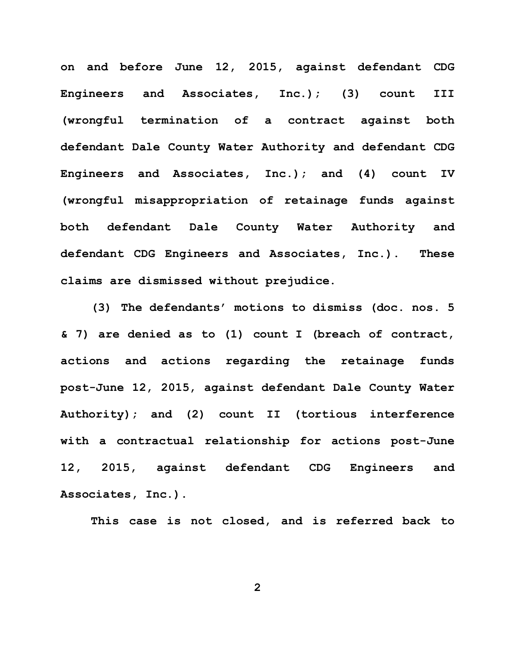**on and before June 12, 2015, against defendant CDG Engineers and Associates, Inc.); (3) count III (wrongful termination of a contract against both defendant Dale County Water Authority and defendant CDG Engineers and Associates, Inc.); and (4) count IV (wrongful misappropriation of retainage funds against both defendant Dale County Water Authority and defendant CDG Engineers and Associates, Inc.). These claims are dismissed without prejudice.**

**(3) The defendants' motions to dismiss (doc. nos. 5 & 7) are denied as to (1) count I (breach of contract, actions and actions regarding the retainage funds post-June 12, 2015, against defendant Dale County Water Authority); and (2) count II (tortious interference with a contractual relationship for actions post-June 12, 2015, against defendant CDG Engineers and Associates, Inc.).**

**This case is not closed, and is referred back to**

**2**